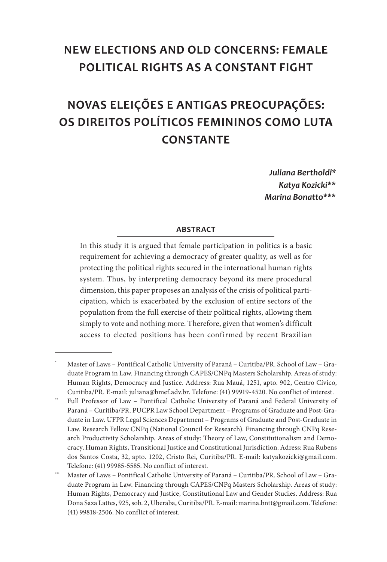## **NEW ELECTIONS AND OLD CONCERNS: FEMALE POLITICAL RIGHTS AS A CONSTANT FIGHT**

# **NOVAS ELEIÇÕES E ANTIGAS PREOCUPAÇÕES: OS DIREITOS POLÍTICOS FEMININOS COMO LUTA CONSTANTE**

*Juliana Bertholdi\* Katya Kozicki\*\*2* Marina Bonatto\*\*\*

#### **Abstract**

In this study it is argued that female participation in politics is a basic requirement for achieving a democracy of greater quality, as well as for protecting the political rights secured in the international human rights system. Thus, by interpreting democracy beyond its mere procedural dimension, this paper proposes an analysis of the crisis of political participation, which is exacerbated by the exclusion of entire sectors of the population from the full exercise of their political rights, allowing them simply to vote and nothing more. Therefore, given that women's difficult access to elected positions has been confirmed by recent Brazilian

Master of Laws - Pontifical Catholic University of Paraná - Curitiba/PR. School of Law - Graduate Program in Law. Financing through CAPES/CNPq Masters Scholarship. Areas of study: Human Rights, Democracy and Justice. Address: Rua Mauá, 1251, apto. 902, Centro Cívico, Curitiba/PR. E-mail: juliana@bmef.adv.br. Telefone: (41) 99919-4520. No conflict of interest.

<sup>\*\*</sup> Full Professor of Law – Pontifical Catholic University of Paraná and Federal University of Paraná – Curitiba/PR. PUCPR Law School Department – Programs of Graduate and Post-Graduate in Law. UFPR Legal Sciences Department – Programs of Graduate and Post-Graduate in Law. Research Fellow CNPq (National Council for Research). Financing through CNPq Research Productivity Scholarship. Areas of study: Theory of Law, Constitutionalism and Democracy, Human Rights, Transitional Justice and Constitutional Jurisdiction. Adress: Rua Rubens dos Santos Costa, 32, apto. 1202, Cristo Rei, Curitiba/PR. E-mail: katyakozicki@gmail.com. Telefone: (41) 99985-5585. No conflict of interest.

<sup>\*\*\*</sup> Master of Laws – Pontifical Catholic University of Paraná – Curitiba/PR. School of Law – Graduate Program in Law. Financing through CAPES/CNPq Masters Scholarship. Areas of study: Human Rights, Democracy and Justice, Constitutional Law and Gender Studies. Address: Rua Dona Saza Lattes, 925, sob. 2, Uberaba, Curitiba/PR. E-mail: marina.bntt@gmail.com. Telefone: (41) 99818-2506. No conflict of interest.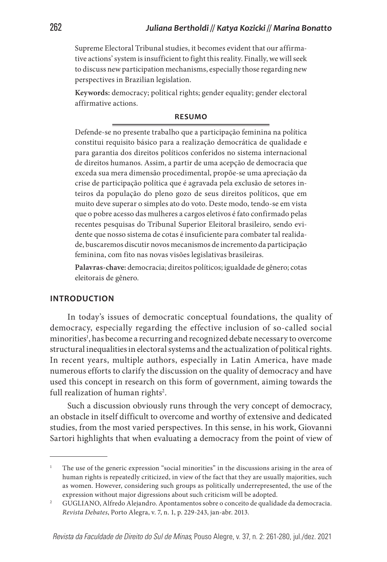Supreme Electoral Tribunal studies, it becomes evident that our affirmative actions' system is insufficient to fight this reality. Finally, we will seek to discuss new participation mechanisms, especially those regarding new perspectives in Brazilian legislation.

**Keywords:** democracy; political rights; gender equality; gender electoral affirmative actions.

#### **Resumo**

Defende-se no presente trabalho que a participação feminina na política constitui requisito básico para a realização democrática de qualidade e para garantia dos direitos políticos conferidos no sistema internacional de direitos humanos. Assim, a partir de uma acepção de democracia que exceda sua mera dimensão procedimental, propõe-se uma apreciação da crise de participação política que é agravada pela exclusão de setores inteiros da população do pleno gozo de seus direitos políticos, que em muito deve superar o simples ato do voto. Deste modo, tendo-se em vista que o pobre acesso das mulheres a cargos eletivos é fato confirmado pelas recentes pesquisas do Tribunal Superior Eleitoral brasileiro, sendo evidente que nosso sistema de cotas é insuficiente para combater tal realidade, buscaremos discutir novos mecanismos de incremento da participação feminina, com fito nas novas visões legislativas brasileiras.

**Palavras-chave:** democracia; direitos políticos; igualdade de gênero; cotas eleitorais de gênero.

#### **INTRODUCTION**

In today's issues of democratic conceptual foundations, the quality of democracy, especially regarding the effective inclusion of so-called social minorities<sup>1</sup>, has become a recurring and recognized debate necessary to overcome structural inequalities in electoral systems and the actualization of political rights. In recent years, multiple authors, especially in Latin America, have made numerous efforts to clarify the discussion on the quality of democracy and have used this concept in research on this form of government, aiming towards the full realization of human rights<sup>2</sup>.

Such a discussion obviously runs through the very concept of democracy, an obstacle in itself difficult to overcome and worthy of extensive and dedicated studies, from the most varied perspectives. In this sense, in his work, Giovanni Sartori highlights that when evaluating a democracy from the point of view of

<sup>1</sup> The use of the generic expression "social minorities" in the discussions arising in the area of human rights is repeatedly criticized, in view of the fact that they are usually majorities, such as women. However, considering such groups as politically underrepresented, the use of the expression without major digressions about such criticism will be adopted.

<sup>2</sup> GUGLIANO, Alfredo Alejandro. Apontamentos sobre o conceito de qualidade da democracia. *Revista Debates*, Porto Alegra, v. 7, n. 1, p. 229-243, jan-abr. 2013.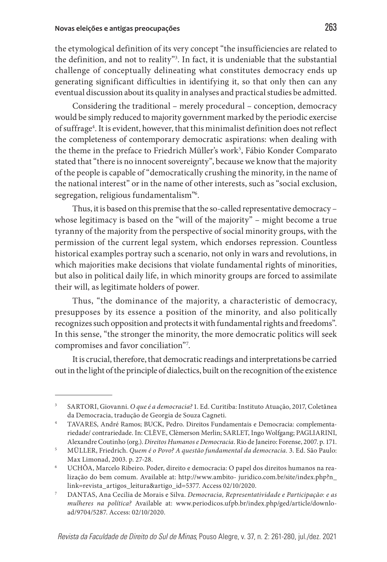the etymological definition of its very concept "the insufficiencies are related to the definition, and not to reality"<sup>3</sup>. In fact, it is undeniable that the substantial challenge of conceptually delineating what constitutes democracy ends up generating significant difficulties in identifying it, so that only then can any eventual discussion about its quality in analyses and practical studies be admitted.

Considering the traditional – merely procedural – conception, democracy would be simply reduced to majority government marked by the periodic exercise of suffrage<sup>4</sup>. It is evident, however, that this minimalist definition does not reflect the completeness of contemporary democratic aspirations: when dealing with the theme in the preface to Friedrich Müller's work<sup>5</sup>, Fábio Konder Comparato stated that "there is no innocent sovereignty", because we know that the majority of the people is capable of "democratically crushing the minority, in the name of the national interest" or in the name of other interests, such as "social exclusion, segregation, religious fundamentalism"6 .

Thus, it is based on this premise that the so-called representative democracy – whose legitimacy is based on the "will of the majority" – might become a true tyranny of the majority from the perspective of social minority groups, with the permission of the current legal system, which endorses repression. Countless historical examples portray such a scenario, not only in wars and revolutions, in which majorities make decisions that violate fundamental rights of minorities, but also in political daily life, in which minority groups are forced to assimilate their will, as legitimate holders of power.

Thus, "the dominance of the majority, a characteristic of democracy, presupposes by its essence a position of the minority, and also politically recognizes such opposition and protects it with fundamental rights and freedoms". In this sense, "the stronger the minority, the more democratic politics will seek compromises and favor conciliation"7 .

It is crucial, therefore, that democratic readings and interpretations be carried out in the light of the principle of dialectics, built on the recognition of the existence

<sup>3</sup> SARTORI, Giovanni. *O que é a democracia?* 1. Ed. Curitiba: Instituto Atuação, 2017, Coletânea da Democracia, tradução de Georgia de Souza Cagneti.

<sup>4</sup> TAVARES, André Ramos; BUCK, Pedro. Direitos Fundamentais e Democracia: complementariedade/ contrariedade. In: CLÈVE, Clèmerson Merlin; SARLET, Ingo Wolfgang; PAGLIARINI, Alexandre Coutinho (org.). *Direitos Humanos e Democracia*. Rio de Janeiro: Forense, 2007. p. 171.

<sup>5</sup> MÜLLER, Friedrich. *Quem é o Povo? A questão fundamental da democracia.* 3. Ed. São Paulo: Max Limonad, 2003. p. 27-28.

<sup>6</sup> UCHÔA, Marcelo Ribeiro. Poder, direito e democracia: O papel dos direitos humanos na realização do bem comum. Available at: http://www.ambito- juridico.com.br/site/index.php?n\_ link=revista\_artigos\_leitura&artigo\_id=5377. Access 02/10/2020. 7 DANTAS, Ana Cecília de Morais e Silva. *Democracia, Representatividade e Participação: e as* 

*mulheres na política?* Available at: www.periodicos.ufpb.br/index.php/ged/article/download/9704/5287. Access: 02/10/2020.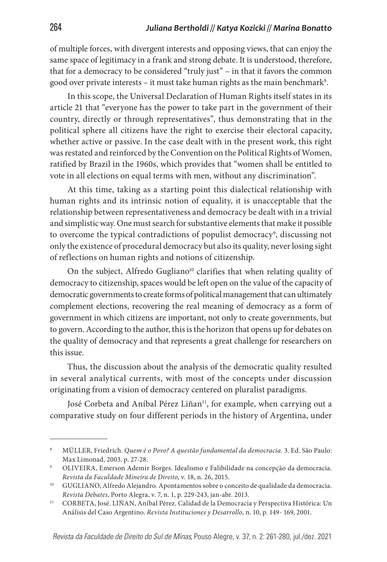of multiple forces, with divergent interests and opposing views, that can enjoy the same space of legitimacy in a frank and strong debate. It is understood, therefore, that for a democracy to be considered "truly just" – in that it favors the common good over private interests – it must take human rights as the main benchmark $^{\rm 8}.$ 

In this scope, the Universal Declaration of Human Rights itself states in its article 21 that "everyone has the power to take part in the government of their country, directly or through representatives", thus demonstrating that in the political sphere all citizens have the right to exercise their electoral capacity, whether active or passive. In the case dealt with in the present work, this right was restated and reinforced by the Convention on the Political Rights of Women, ratified by Brazil in the 1960s, which provides that "women shall be entitled to vote in all elections on equal terms with men, without any discrimination".

At this time, taking as a starting point this dialectical relationship with human rights and its intrinsic notion of equality, it is unacceptable that the relationship between representativeness and democracy be dealt with in a trivial and simplistic way. One must search for substantive elements that make it possible to overcome the typical contradictions of populist democracy<sup>9</sup>, discussing not only the existence of procedural democracy but also its quality, never losing sight of reflections on human rights and notions of citizenship.

On the subject, Alfredo Gugliano<sup>10</sup> clarifies that when relating quality of democracy to citizenship, spaces would be left open on the value of the capacity of democratic governments to create forms of political management that can ultimately complement elections, recovering the real meaning of democracy as a form of government in which citizens are important, not only to create governments, but to govern. According to the author, this is the horizon that opens up for debates on the quality of democracy and that represents a great challenge for researchers on this issue.

Thus, the discussion about the analysis of the democratic quality resulted in several analytical currents, with most of the concepts under discussion originating from a vision of democracy centered on pluralist paradigms.

José Corbeta and Aníbal Pérez Liñan<sup>11</sup>, for example, when carrying out a comparative study on four different periods in the history of Argentina, under

<sup>8</sup> MÜLLER, Friedrich. *Quem é o Povo? A questão fundamental da democracia.* 3. Ed. São Paulo: Max Limonad, 2003. p. 27-28.

<sup>9</sup> OLIVEIRA, Emerson Ademir Borges. Idealismo e Falibilidade na concepção da democracia. *Revista da Faculdade Mineira de Direito*, v. 18, n. 26, 2015.

<sup>&</sup>lt;sup>10</sup> GUGLIANO, Alfredo Alejandro. Apontamentos sobre o conceito de qualidade da democracia. *Revista Debates*, Porto Alegra, v. 7, n. 1, p. 229-243, jan-abr. 2013.

<sup>&</sup>lt;sup>11</sup> CORBETA, José. LIÑAN, Aníbal Pérez. Calidad de la Democracia y Perspectiva Histórica: Un Análisis del Caso Argentino. *Revista Instituciones y Desarrollo,* n. 10, p. 149- 169, 2001.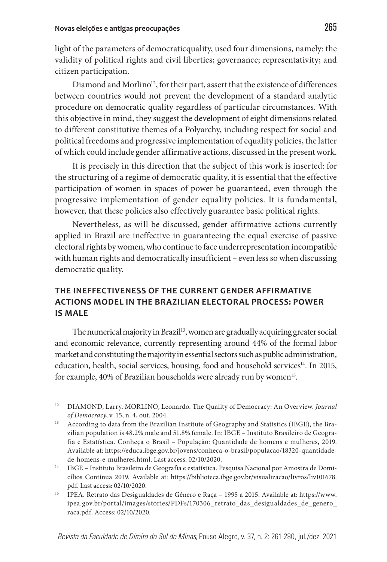light of the parameters of democraticquality, used four dimensions, namely: the validity of political rights and civil liberties; governance; representativity; and citizen participation.

Diamond and Morlino<sup>12</sup>, for their part, assert that the existence of differences between countries would not prevent the development of a standard analytic procedure on democratic quality regardless of particular circumstances. With this objective in mind, they suggest the development of eight dimensions related to different constitutive themes of a Polyarchy, including respect for social and political freedoms and progressive implementation of equality policies, the latter of which could include gender affirmative actions, discussed in the present work.

It is precisely in this direction that the subject of this work is inserted: for the structuring of a regime of democratic quality, it is essential that the effective participation of women in spaces of power be guaranteed, even through the progressive implementation of gender equality policies. It is fundamental, however, that these policies also effectively guarantee basic political rights.

Nevertheless, as will be discussed, gender affirmative actions currently applied in Brazil are ineffective in guaranteeing the equal exercise of passive electoral rights by women, who continue to face underrepresentation incompatible with human rights and democratically insufficient – even less so when discussing democratic quality.

## **THE INEFFECTIVENESS OF THE CURRENT GENDER AFFIRMATIVE ACTIONS MODEL IN THE BRAZILIAN ELECTORAL PROCESS: POWER IS MALE**

The numerical majority in Brazil<sup>13</sup>, women are gradually acquiring greater social and economic relevance, currently representing around 44% of the formal labor market and constituting the majority in essential sectors such as public administration, education, health, social services, housing, food and household services<sup>14</sup>. In 2015, for example, 40% of Brazilian households were already run by women<sup>15</sup>.

<sup>12</sup> DIAMOND, Larry. MORLINO, Leonardo. The Quality of Democracy: An Overview. *Journal of Democracy*, v. 15, n. 4, out. 2004.

<sup>&</sup>lt;sup>13</sup> According to data from the Brazilian Institute of Geography and Statistics (IBGE), the Brazilian population is 48.2% male and 51.8% female. In: IBGE – Instituto Brasileiro de Geografia e Estatística. Conheça o Brasil – População: Quantidade de homens e mulheres, 2019. Available at: https://educa.ibge.gov.br/jovens/conheca-o-brasil/populacao/18320-quantidadede-homens-e-mulheres.html. Last access: 02/10/2020.

<sup>&</sup>lt;sup>14</sup> IBGE – Instituto Brasileiro de Geografia e estatística. Pesquisa Nacional por Amostra de Domicílios Contínua 2019. Available at: https://biblioteca.ibge.gov.br/visualizacao/livros/liv101678. pdf. Last access: 02/10/2020.

<sup>&</sup>lt;sup>15</sup> IPEA. Retrato das Desigualdades de Gênero e Raça - 1995 a 2015. Available at: https://www. ipea.gov.br/portal/images/stories/PDFs/170306\_retrato\_das\_desigualdades\_de\_genero\_ raca.pdf. Access: 02/10/2020.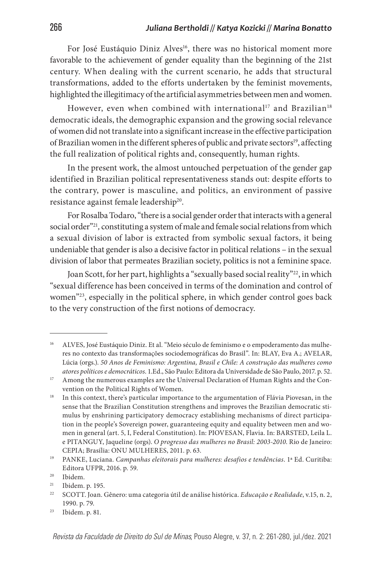For José Eustáquio Diniz Alves<sup>16</sup>, there was no historical moment more favorable to the achievement of gender equality than the beginning of the 21st century. When dealing with the current scenario, he adds that structural transformations, added to the efforts undertaken by the feminist movements, highlighted the illegitimacy of the artificial asymmetries between men and women.

However, even when combined with international<sup>17</sup> and Brazilian<sup>18</sup> democratic ideals, the demographic expansion and the growing social relevance of women did not translate into a significant increase in the effective participation of Brazilian women in the different spheres of public and private sectors<sup>19</sup>, affecting the full realization of political rights and, consequently, human rights.

In the present work, the almost untouched perpetuation of the gender gap identified in Brazilian political representativeness stands out: despite efforts to the contrary, power is masculine, and politics, an environment of passive resistance against female leadership<sup>20</sup>.

For Rosalba Todaro, "there is a social gender order that interacts with a general social order"<sup>21</sup>, constituting a system of male and female social relations from which a sexual division of labor is extracted from symbolic sexual factors, it being undeniable that gender is also a decisive factor in political relations – in the sexual division of labor that permeates Brazilian society, politics is not a feminine space.

Joan Scott, for her part, highlights a "sexually based social reality"<sup>22</sup>, in which "sexual difference has been conceived in terms of the domination and control of women"23, especially in the political sphere, in which gender control goes back to the very construction of the first notions of democracy.

<sup>&</sup>lt;sup>16</sup> ALVES, José Eustáquio Diniz. Et al. "Meio século de feminismo e o empoderamento das mulheres no contexto das transformações sociodemográficas do Brasil". In: BLAY, Eva A.; AVELAR, Lúcia (orgs.). *50 Anos de Feminismo: Argentina, Brasil e Chile: A construção das mulheres como atores políticos e democráticos*. 1.Ed., São Paulo: Editora da Universidade de São Paulo, 2017. p. 52.

<sup>17</sup> Among the numerous examples are the Universal Declaration of Human Rights and the Convention on the Political Rights of Women.

<sup>&</sup>lt;sup>18</sup> In this context, there's particular importance to the argumentation of Flávia Piovesan, in the sense that the Brazilian Constitution strengthens and improves the Brazilian democratic stimulus by enshrining participatory democracy establishing mechanisms of direct participation in the people's Sovereign power, guaranteeing equity and equality between men and women in general (art. 5, I, Federal Constitution). In: PIOVESAN, Flavia. In: BARSTED, Leila L. e PITANGUY, Jaqueline (orgs). *O progresso das mulheres no Brasil: 2003-2010*. Rio de Janeiro: CEPIA; Brasília: ONU MULHERES, 2011. p. 63.

<sup>19</sup> PANKE, Luciana. *Campanhas eleitorais para mulheres: desafios e tendências*. 1ª Ed. Curitiba: Editora UFPR, 2016. p. 59.

<sup>20</sup> Ibidem.

<sup>21</sup> Ibidem. p. 195.

<sup>22</sup> SCOTT. Joan. Gênero: uma categoria útil de análise histórica. *Educação e Realidade*, v.15, n. 2, 1990. p. 79.

<sup>23</sup> Ibidem. p. 81.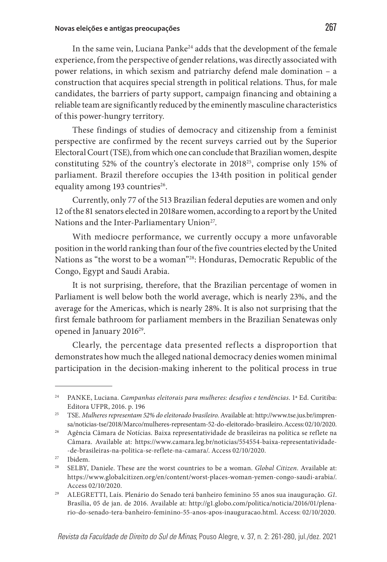In the same vein, Luciana Panke24 adds that the development of the female experience, from the perspective of gender relations, was directly associated with power relations, in which sexism and patriarchy defend male domination – a construction that acquires special strength in political relations. Thus, for male candidates, the barriers of party support, campaign financing and obtaining a reliable team are significantly reduced by the eminently masculine characteristics of this power-hungry territory.

These findings of studies of democracy and citizenship from a feminist perspective are confirmed by the recent surveys carried out by the Superior Electoral Court (TSE), from which one can conclude that Brazilian women, despite constituting 52% of the country's electorate in 201825, comprise only 15% of parliament. Brazil therefore occupies the 134th position in political gender equality among 193 countries<sup>26</sup>.

Currently, only 77 of the 513 Brazilian federal deputies are women and only 12 of the 81 senators elected in 2018are women, according to a report by the United Nations and the Inter-Parliamentary Union<sup>27</sup>.

With mediocre performance, we currently occupy a more unfavorable position in the world ranking than four of the five countries elected by the United Nations as "the worst to be a woman"28: Honduras, Democratic Republic of the Congo, Egypt and Saudi Arabia.

It is not surprising, therefore, that the Brazilian percentage of women in Parliament is well below both the world average, which is nearly 23%, and the average for the Americas, which is nearly 28%. It is also not surprising that the first female bathroom for parliament members in the Brazilian Senatewas only opened in January 2016<sup>29</sup>.

Clearly, the percentage data presented reflects a disproportion that demonstrates how much the alleged national democracy denies women minimal participation in the decision-making inherent to the political process in true

<sup>24</sup> PANKE, Luciana. *Campanhas eleitorais para mulheres: desafios e tendências*. 1ª Ed. Curitiba: Editora UFPR, 2016. p. 196

<sup>25</sup> TSE. *Mulheres representam 52% do eleitorado brasileiro*. Available at: http://www.tse.jus.br/imprensa/noticias-tse/2018/Marco/mulheres-representam-52-do-eleitorado-brasileiro. Access: 02/10/2020.

<sup>26</sup> Agência Câmara de Notícias. Baixa representatividade de brasileiras na política se reflete na Câmara. Available at: https://www.camara.leg.br/noticias/554554-baixa-representatividade- -de-brasileiras-na-politica-se-reflete-na-camara/. Access 02/10/2020.

<sup>27</sup> Ibidem.

<sup>28</sup> SELBY, Daniele. These are the worst countries to be a woman. *Global Citizen*. Available at: https://www.globalcitizen.org/en/content/worst-places-woman-yemen-congo-saudi-arabia/. Access 02/10/2020.

<sup>29</sup> ALEGRETTI, Laís. Plenário do Senado terá banheiro feminino 55 anos sua inauguração. *G1*. Brasília, 05 de jan. de 2016. Available at: http://g1.globo.com/politica/noticia/2016/01/plenario-do-senado-tera-banheiro-feminino-55-anos-apos-inauguracao.html. Access: 02/10/2020.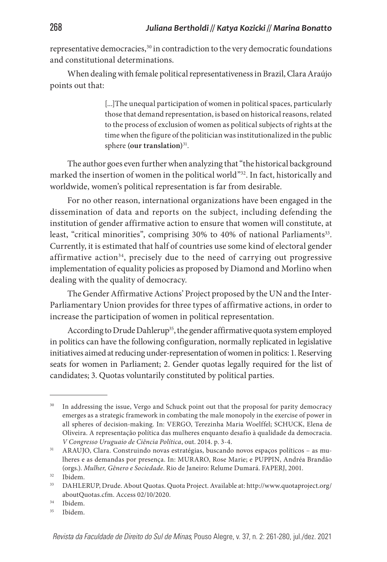representative democracies,<sup>30</sup> in contradiction to the very democratic foundations and constitutional determinations.

When dealing with female political representativeness in Brazil, Clara Araújo points out that:

> [...]The unequal participation of women in political spaces, particularly those that demand representation, is based on historical reasons, related to the process of exclusion of women as political subjects of rights at the time when the figure of the politician was institutionalized in the public sphere (our translation)<sup>31</sup>.

The author goes even further when analyzing that "the historical background marked the insertion of women in the political world"32. In fact, historically and worldwide, women's political representation is far from desirable.

For no other reason, international organizations have been engaged in the dissemination of data and reports on the subject, including defending the institution of gender affirmative action to ensure that women will constitute, at least, "critical minorities", comprising 30% to 40% of national Parliaments<sup>33</sup>. Currently, it is estimated that half of countries use some kind of electoral gender affirmative action<sup>34</sup>, precisely due to the need of carrying out progressive implementation of equality policies as proposed by Diamond and Morlino when dealing with the quality of democracy.

The Gender Affirmative Actions' Project proposed by the UN and the Inter-Parliamentary Union provides for three types of affirmative actions, in order to increase the participation of women in political representation.

According to Drude Dahlerup<sup>35</sup>, the gender affirmative quota system employed in politics can have the following configuration, normally replicated in legislative initiatives aimed at reducing under-representation of women in politics: 1. Reserving seats for women in Parliament; 2. Gender quotas legally required for the list of candidates; 3. Quotas voluntarily constituted by political parties.

<sup>&</sup>lt;sup>30</sup> In addressing the issue, Vergo and Schuck point out that the proposal for parity democracy emerges as a strategic framework in combating the male monopoly in the exercise of power in all spheres of decision-making. In: VERGO, Terezinha Maria Woelffel; SCHUCK, Elena de Oliveira. A representação política das mulheres enquanto desafio à qualidade da democracia. *V Congresso Uruguaio de Ciência Política*, out. 2014. p. 3-4.

<sup>31</sup> ARAUJO, Clara. Construindo novas estratégias, buscando novos espaços políticos – as mulheres e as demandas por presença. In: MURARO, Rose Marie; e PUPPIN, Andréa Brandão (orgs.). *Mulher, Gênero e Sociedade*. Rio de Janeiro: Relume Dumará. FAPERJ, 2001.

<sup>32</sup> Ibidem.

<sup>33</sup> DAHLERUP, Drude. About Quotas. Quota Project. Available at: http://www.quotaproject.org/ aboutQuotas.cfm. Access 02/10/2020.

<sup>34</sup> Ibidem.

<sup>35</sup> Ibidem.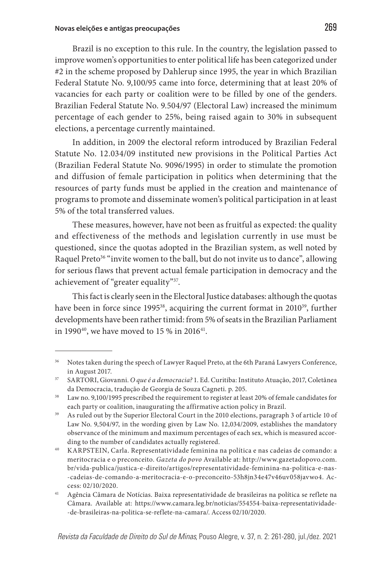Brazil is no exception to this rule. In the country, the legislation passed to improve women's opportunities to enter political life has been categorized under #2 in the scheme proposed by Dahlerup since 1995, the year in which Brazilian Federal Statute No. 9,100/95 came into force, determining that at least 20% of vacancies for each party or coalition were to be filled by one of the genders. Brazilian Federal Statute No. 9.504/97 (Electoral Law) increased the minimum percentage of each gender to 25%, being raised again to 30% in subsequent elections, a percentage currently maintained.

In addition, in 2009 the electoral reform introduced by Brazilian Federal Statute No. 12.034/09 instituted new provisions in the Political Parties Act (Brazilian Federal Statute No. 9096/1995) in order to stimulate the promotion and diffusion of female participation in politics when determining that the resources of party funds must be applied in the creation and maintenance of programs to promote and disseminate women's political participation in at least 5% of the total transferred values.

These measures, however, have not been as fruitful as expected: the quality and effectiveness of the methods and legislation currently in use must be questioned, since the quotas adopted in the Brazilian system, as well noted by Raquel Preto<sup>36</sup> "invite women to the ball, but do not invite us to dance", allowing for serious flaws that prevent actual female participation in democracy and the achievement of "greater equality"37.

This fact is clearly seen in the Electoral Justice databases: although the quotas have been in force since 1995<sup>38</sup>, acquiring the current format in 2010<sup>39</sup>, further developments have been rather timid: from 5% of seats in the Brazilian Parliament in 1990 $^{40}$ , we have moved to 15 % in 2016 $^{41}$ .

<sup>&</sup>lt;sup>36</sup> Notes taken during the speech of Lawyer Raquel Preto, at the 6th Paraná Lawyers Conference, in August 2017.

<sup>37</sup> SARTORI, Giovanni. *O que é a democracia?* 1. Ed. Curitiba: Instituto Atuação, 2017, Coletânea da Democracia, tradução de Georgia de Souza Cagneti. p. 205.

<sup>&</sup>lt;sup>38</sup> Law no. 9,100/1995 prescribed the requirement to register at least 20% of female candidates for each party or coalition, inaugurating the affirmative action policy in Brazil.

<sup>&</sup>lt;sup>39</sup> As ruled out by the Superior Electoral Court in the 2010 elections, paragraph 3 of article 10 of Law No. 9,504/97, in the wording given by Law No. 12,034/2009, establishes the mandatory observance of the minimum and maximum percentages of each sex, which is measured according to the number of candidates actually registered.

<sup>40</sup> KARPSTEIN, Carla. Representatividade feminina na política e nas cadeias de comando: a meritocracia e o preconceito. *Gazeta do povo* Available at: http://www.gazetadopovo.com. br/vida-publica/justica-e-direito/artigos/representatividade-feminina-na-politica-e-nas- -cadeias-de-comando-a-meritocracia-e-o-preconceito-53h8jn34e47v46uv058javwo4. Access: 02/10/2020.

<sup>41</sup> Agência Câmara de Notícias. Baixa representatividade de brasileiras na política se reflete na Câmara. Available at: https://www.camara.leg.br/noticias/554554-baixa-representatividade- -de-brasileiras-na-politica-se-reflete-na-camara/. Access 02/10/2020.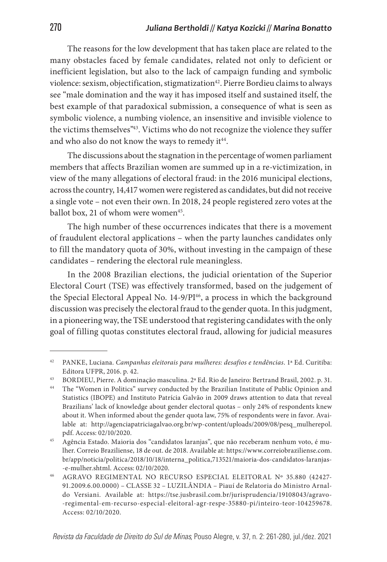The reasons for the low development that has taken place are related to the many obstacles faced by female candidates, related not only to deficient or inefficient legislation, but also to the lack of campaign funding and symbolic violence: sexism, objectification, stigmatization<sup>42</sup>. Pierre Bordieu claims to always see "male domination and the way it has imposed itself and sustained itself, the best example of that paradoxical submission, a consequence of what is seen as symbolic violence, a numbing violence, an insensitive and invisible violence to the victims themselves"43. Victims who do not recognize the violence they suffer and who also do not know the ways to remedy it<sup>44</sup>.

The discussions about the stagnation in the percentage of women parliament members that affects Brazilian women are summed up in a re-victimization, in view of the many allegations of electoral fraud: in the 2016 municipal elections, across the country, 14,417 women were registered as candidates, but did not receive a single vote – not even their own. In 2018, 24 people registered zero votes at the ballot box, 21 of whom were women<sup>45</sup>.

The high number of these occurrences indicates that there is a movement of fraudulent electoral applications – when the party launches candidates only to fill the mandatory quota of 30%, without investing in the campaign of these candidates – rendering the electoral rule meaningless.

In the 2008 Brazilian elections, the judicial orientation of the Superior Electoral Court (TSE) was effectively transformed, based on the judgement of the Special Electoral Appeal No.  $14-9/PI^{46}$ , a process in which the background discussion was precisely the electoral fraud to the gender quota. In this judgment, in a pioneering way, the TSE understood that registering candidates with the only goal of filling quotas constitutes electoral fraud, allowing for judicial measures

<sup>42</sup> PANKE, Luciana. *Campanhas eleitorais para mulheres: desafios e tendências*. 1ª Ed. Curitiba: Editora UFPR, 2016. p. 42.

<sup>43</sup> BORDIEU, Pierre. A dominação masculina. 2ª Ed. Rio de Janeiro: Bertrand Brasil, 2002. p. 31.

<sup>44</sup> The "Women in Politics" survey conducted by the Brazilian Institute of Public Opinion and Statistics (IBOPE) and Instituto Patrícia Galvão in 2009 draws attention to data that reveal Brazilians' lack of knowledge about gender electoral quotas – only 24% of respondents knew about it. When informed about the gender quota law, 75% of respondents were in favor. Available at: http://agenciapatriciagalvao.org.br/wp-content/uploads/2009/08/pesq\_mulherepol. pdf. Access: 02/10/2020.

<sup>45</sup> Agência Estado. Maioria dos "candidatos laranjas", que não receberam nenhum voto, é mulher. Correio Braziliense, 18 de out. de 2018. Available at: https://www.correiobraziliense.com. br/app/noticia/politica/2018/10/18/interna\_politica,713521/maioria-dos-candidatos-laranjas- -e-mulher.shtml. Access: 02/10/2020.

<sup>46</sup> AGRAVO REGIMENTAL NO RECURSO ESPECIAL ELEITORAL Nº 35.880 (42427- 91.2009.6.00.0000) – CLASSE 32 – LUZILÂNDIA – Piauí de Relatoria do Ministro Arnaldo Versiani. Available at: https://tse.jusbrasil.com.br/jurisprudencia/19108043/agravo- -regimental-em-recurso-especial-eleitoral-agr-respe-35880-pi/inteiro-teor-104259678. Access: 02/10/2020.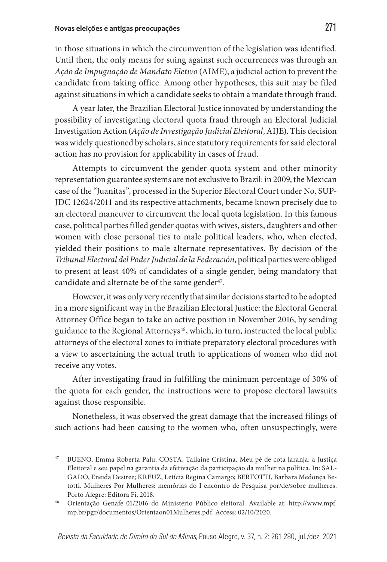in those situations in which the circumvention of the legislation was identified. Until then, the only means for suing against such occurrences was through an *Ação de Impugnação de Mandato Eletivo* (AIME), a judicial action to prevent the candidate from taking office. Among other hypotheses, this suit may be filed against situations in which a candidate seeks to obtain a mandate through fraud.

A year later, the Brazilian Electoral Justice innovated by understanding the possibility of investigating electoral quota fraud through an Electoral Judicial Investigation Action (*Ação de Investigação Judicial Eleitoral*, AIJE). This decision was widely questioned by scholars, since statutory requirements for said electoral action has no provision for applicability in cases of fraud.

Attempts to circumvent the gender quota system and other minority representation guarantee systems are not exclusive to Brazil: in 2009, the Mexican case of the "Juanitas", processed in the Superior Electoral Court under No. SUP-JDC 12624/2011 and its respective attachments, became known precisely due to an electoral maneuver to circumvent the local quota legislation. In this famous case, political parties filled gender quotas with wives, sisters, daughters and other women with close personal ties to male political leaders, who, when elected, yielded their positions to male alternate representatives. By decision of the *Tribunal Electoral del Poder Judicial de la Federación*, political parties were obliged to present at least 40% of candidates of a single gender, being mandatory that candidate and alternate be of the same gender<sup>47</sup>.

However, it was only very recently that similar decisions started to be adopted in a more significant way in the Brazilian Electoral Justice: the Electoral General Attorney Office began to take an active position in November 2016, by sending guidance to the Regional Attorneys<sup>48</sup>, which, in turn, instructed the local public attorneys of the electoral zones to initiate preparatory electoral procedures with a view to ascertaining the actual truth to applications of women who did not receive any votes.

After investigating fraud in fulfilling the minimum percentage of 30% of the quota for each gender, the instructions were to propose electoral lawsuits against those responsible.

Nonetheless, it was observed the great damage that the increased filings of such actions had been causing to the women who, often unsuspectingly, were

<sup>47</sup> BUENO, Emma Roberta Palu; COSTA, Tailaine Cristina. Meu pé de cota laranja: a Justiça Eleitoral e seu papel na garantia da efetivação da participação da mulher na política. In: SAL-GADO, Eneida Desiree; KREUZ, Letícia Regina Camargo; BERTOTTI, Barbara Medonça Betotti. Mulheres Por Mulheres: memórias do I encontro de Pesquisa por/de/sobre mulheres. Porto Alegre: Editora Fi, 2018.

<sup>48</sup> Orientação Genafe 01/2016 do Ministério Público eleitoral. Available at: http://www.mpf. mp.br/pgr/documentos/Orientaon01Mulheres.pdf. Access: 02/10/2020.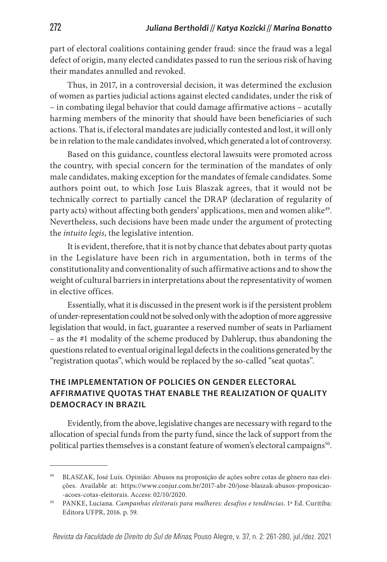part of electoral coalitions containing gender fraud: since the fraud was a legal defect of origin, many elected candidates passed to run the serious risk of having their mandates annulled and revoked.

Thus, in 2017, in a controversial decision, it was determined the exclusion of women as parties judicial actions against elected candidates, under the risk of – in combating ilegal behavior that could damage affirmative actions – acutally harming members of the minority that should have been beneficiaries of such actions. That is, if electoral mandates are judicially contested and lost, it will only be in relation to the male candidates involved, which generated a lot of controversy.

Based on this guidance, countless electoral lawsuits were promoted across the country, with special concern for the termination of the mandates of only male candidates, making exception for the mandates of female candidates. Some authors point out, to which Jose Luis Blaszak agrees, that it would not be technically correct to partially cancel the DRAP (declaration of regularity of party acts) without affecting both genders' applications, men and women alike<sup>49</sup>. Nevertheless, such decisions have been made under the argument of protecting the *intuito legis*, the legislative intention.

It is evident, therefore, that it is not by chance that debates about party quotas in the Legislature have been rich in argumentation, both in terms of the constitutionality and conventionality of such affirmative actions and to show the weight of cultural barriers in interpretations about the representativity of women in elective offices.

Essentially, what it is discussed in the present work is if the persistent problem of under-representation could not be solved only with the adoption of more aggressive legislation that would, in fact, guarantee a reserved number of seats in Parliament – as the #1 modality of the scheme produced by Dahlerup, thus abandoning the questions related to eventual original legal defects in the coalitions generated by the "registration quotas", which would be replaced by the so-called "seat quotas".

## **THE IMPLEMENTATION OF POLICIES ON GENDER ELECTORAL AFFIRMATIVE QUOTAS THAT ENABLE THE REALIZATION OF QUALITY DEMOCRACY IN BRAZIL**

Evidently, from the above, legislative changes are necessary with regard to the allocation of special funds from the party fund, since the lack of support from the political parties themselves is a constant feature of women's electoral campaigns<sup>50</sup>.

<sup>49</sup> BLASZAK, José Luís. Opinião: Abusos na proposição de ações sobre cotas de gênero nas eleições. Available at: https://www.conjur.com.br/2017-abr-20/jose-blaszak-abusos-proposicao- -acoes-cotas-eleitorais. Access: 02/10/2020.

<sup>50</sup> PANKE, Luciana. *Campanhas eleitorais para mulheres: desafios e tendências*. 1ª Ed. Curitiba: Editora UFPR, 2016. p. 59.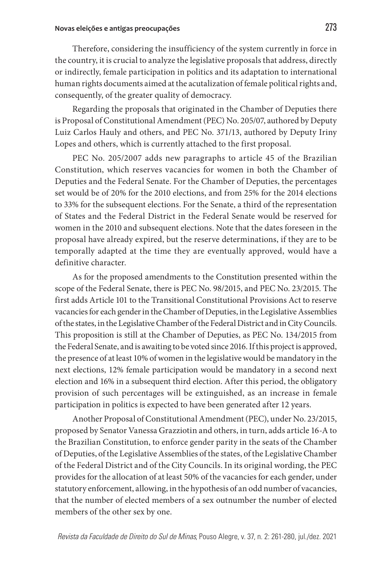Therefore, considering the insufficiency of the system currently in force in the country, it is crucial to analyze the legislative proposals that address, directly or indirectly, female participation in politics and its adaptation to international human rights documents aimed at the acutalization of female political rights and, consequently, of the greater quality of democracy.

Regarding the proposals that originated in the Chamber of Deputies there is Proposal of Constitutional Amendment (PEC) No. 205/07, authored by Deputy Luiz Carlos Hauly and others, and PEC No. 371/13, authored by Deputy Iriny Lopes and others, which is currently attached to the first proposal.

PEC No. 205/2007 adds new paragraphs to article 45 of the Brazilian Constitution, which reserves vacancies for women in both the Chamber of Deputies and the Federal Senate. For the Chamber of Deputies, the percentages set would be of 20% for the 2010 elections, and from 25% for the 2014 elections to 33% for the subsequent elections. For the Senate, a third of the representation of States and the Federal District in the Federal Senate would be reserved for women in the 2010 and subsequent elections. Note that the dates foreseen in the proposal have already expired, but the reserve determinations, if they are to be temporally adapted at the time they are eventually approved, would have a definitive character.

As for the proposed amendments to the Constitution presented within the scope of the Federal Senate, there is PEC No. 98/2015, and PEC No. 23/2015. The first adds Article 101 to the Transitional Constitutional Provisions Act to reserve vacancies for each gender in the Chamber of Deputies, in the Legislative Assemblies of the states, in the Legislative Chamber of the Federal District and in City Councils. This proposition is still at the Chamber of Deputies, as PEC No. 134/2015 from the Federal Senate, and is awaiting to be voted since 2016. If this project is approved, the presence of at least 10% of women in the legislative would be mandatory in the next elections, 12% female participation would be mandatory in a second next election and 16% in a subsequent third election. After this period, the obligatory provision of such percentages will be extinguished, as an increase in female participation in politics is expected to have been generated after 12 years.

Another Proposal of Constitutional Amendment (PEC), under No. 23/2015, proposed by Senator Vanessa Grazziotin and others, in turn, adds article 16-A to the Brazilian Constitution, to enforce gender parity in the seats of the Chamber of Deputies, of the Legislative Assemblies of the states, of the Legislative Chamber of the Federal District and of the City Councils. In its original wording, the PEC provides for the allocation of at least 50% of the vacancies for each gender, under statutory enforcement, allowing, in the hypothesis of an odd number of vacancies, that the number of elected members of a sex outnumber the number of elected members of the other sex by one.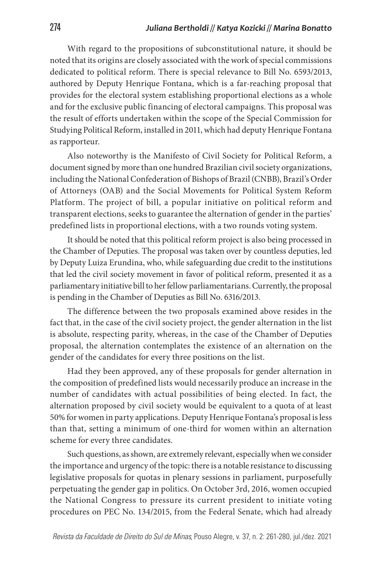With regard to the propositions of subconstitutional nature, it should be noted that its origins are closely associated with the work of special commissions dedicated to political reform. There is special relevance to Bill No. 6593/2013, authored by Deputy Henrique Fontana, which is a far-reaching proposal that provides for the electoral system establishing proportional elections as a whole and for the exclusive public financing of electoral campaigns. This proposal was the result of efforts undertaken within the scope of the Special Commission for Studying Political Reform, installed in 2011, which had deputy Henrique Fontana as rapporteur.

Also noteworthy is the Manifesto of Civil Society for Political Reform, a document signed by more than one hundred Brazilian civil society organizations, including the National Confederation of Bishops of Brazil (CNBB), Brazil's Order of Attorneys (OAB) and the Social Movements for Political System Reform Platform. The project of bill, a popular initiative on political reform and transparent elections, seeks to guarantee the alternation of gender in the parties' predefined lists in proportional elections, with a two rounds voting system.

It should be noted that this political reform project is also being processed in the Chamber of Deputies. The proposal was taken over by countless deputies, led by Deputy Luiza Erundina, who, while safeguarding due credit to the institutions that led the civil society movement in favor of political reform, presented it as a parliamentary initiative bill to her fellow parliamentarians. Currently, the proposal is pending in the Chamber of Deputies as Bill No. 6316/2013.

The difference between the two proposals examined above resides in the fact that, in the case of the civil society project, the gender alternation in the list is absolute, respecting parity, whereas, in the case of the Chamber of Deputies proposal, the alternation contemplates the existence of an alternation on the gender of the candidates for every three positions on the list.

Had they been approved, any of these proposals for gender alternation in the composition of predefined lists would necessarily produce an increase in the number of candidates with actual possibilities of being elected. In fact, the alternation proposed by civil society would be equivalent to a quota of at least 50% for women in party applications. Deputy Henrique Fontana's proposal is less than that, setting a minimum of one-third for women within an alternation scheme for every three candidates.

Such questions, as shown, are extremely relevant, especially when we consider the importance and urgency of the topic: there is a notable resistance to discussing legislative proposals for quotas in plenary sessions in parliament, purposefully perpetuating the gender gap in politics. On October 3rd, 2016, women occupied the National Congress to pressure its current president to initiate voting procedures on PEC No. 134/2015, from the Federal Senate, which had already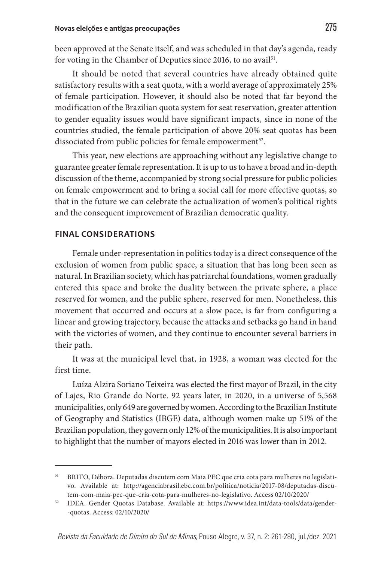been approved at the Senate itself, and was scheduled in that day's agenda, ready for voting in the Chamber of Deputies since 2016, to no avail<sup>51</sup>.

It should be noted that several countries have already obtained quite satisfactory results with a seat quota, with a world average of approximately 25% of female participation. However, it should also be noted that far beyond the modification of the Brazilian quota system for seat reservation, greater attention to gender equality issues would have significant impacts, since in none of the countries studied, the female participation of above 20% seat quotas has been dissociated from public policies for female empowerment<sup>52</sup>.

This year, new elections are approaching without any legislative change to guarantee greater female representation. It is up to us to have a broad and in-depth discussion of the theme, accompanied by strong social pressure for public policies on female empowerment and to bring a social call for more effective quotas, so that in the future we can celebrate the actualization of women's political rights and the consequent improvement of Brazilian democratic quality.

#### **FINAL CONSIDERATIONS**

Female under-representation in politics today is a direct consequence of the exclusion of women from public space, a situation that has long been seen as natural. In Brazilian society, which has patriarchal foundations, women gradually entered this space and broke the duality between the private sphere, a place reserved for women, and the public sphere, reserved for men. Nonetheless, this movement that occurred and occurs at a slow pace, is far from configuring a linear and growing trajectory, because the attacks and setbacks go hand in hand with the victories of women, and they continue to encounter several barriers in their path.

It was at the municipal level that, in 1928, a woman was elected for the first time.

Luíza Alzira Soriano Teixeira was elected the first mayor of Brazil, in the city of Lajes, Rio Grande do Norte. 92 years later, in 2020, in a universe of 5,568 municipalities, only 649 are governed by women. According to the Brazilian Institute of Geography and Statistics (IBGE) data, although women make up 51% of the Brazilian population, they govern only 12% of the municipalities. It is also important to highlight that the number of mayors elected in 2016 was lower than in 2012.

<sup>51</sup> BRITO, Débora. Deputadas discutem com Maia PEC que cria cota para mulheres no legislativo. Available at: http://agenciabrasil.ebc.com.br/politica/noticia/2017-08/deputadas-discutem-com-maia-pec-que-cria-cota-para-mulheres-no-legislativo. Access 02/10/2020/

<sup>52</sup> IDEA. Gender Quotas Database. Available at: https://www.idea.int/data-tools/data/gender- -quotas. Access: 02/10/2020/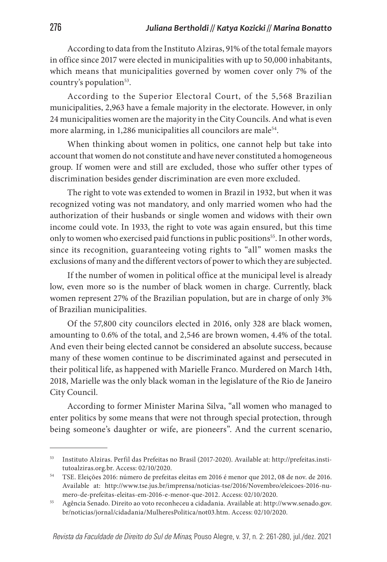According to data from the Instituto Alziras, 91% of the total female mayors in office since 2017 were elected in municipalities with up to 50,000 inhabitants, which means that municipalities governed by women cover only 7% of the country's population<sup>53</sup>.

According to the Superior Electoral Court, of the 5,568 Brazilian municipalities, 2,963 have a female majority in the electorate. However, in only 24 municipalities women are the majority in the City Councils. And what is even more alarming, in 1,286 municipalities all councilors are male<sup>54</sup>.

When thinking about women in politics, one cannot help but take into account that women do not constitute and have never constituted a homogeneous group. If women were and still are excluded, those who suffer other types of discrimination besides gender discrimination are even more excluded.

The right to vote was extended to women in Brazil in 1932, but when it was recognized voting was not mandatory, and only married women who had the authorization of their husbands or single women and widows with their own income could vote. In 1933, the right to vote was again ensured, but this time only to women who exercised paid functions in public positions<sup>55</sup>. In other words, since its recognition, guaranteeing voting rights to "all" women masks the exclusions of many and the different vectors of power to which they are subjected.

If the number of women in political office at the municipal level is already low, even more so is the number of black women in charge. Currently, black women represent 27% of the Brazilian population, but are in charge of only 3% of Brazilian municipalities.

Of the 57,800 city councilors elected in 2016, only 328 are black women, amounting to 0.6% of the total, and 2,546 are brown women, 4.4% of the total. And even their being elected cannot be considered an absolute success, because many of these women continue to be discriminated against and persecuted in their political life, as happened with Marielle Franco. Murdered on March 14th, 2018, Marielle was the only black woman in the legislature of the Rio de Janeiro City Council.

According to former Minister Marina Silva, "all women who managed to enter politics by some means that were not through special protection, through being someone's daughter or wife, are pioneers". And the current scenario,

<sup>53</sup> Instituto Alziras. Perfil das Prefeitas no Brasil (2017-2020). Available at: http://prefeitas.institutoalziras.org.br. Access: 02/10/2020.

<sup>54</sup> TSE. Eleições 2016: número de prefeitas eleitas em 2016 é menor que 2012, 08 de nov. de 2016. Available at: http://www.tse.jus.br/imprensa/noticias-tse/2016/Novembro/eleicoes-2016-numero-de-prefeitas-eleitas-em-2016-e-menor-que-2012. Access: 02/10/2020.

<sup>55</sup> Agência Senado. Direito ao voto reconheceu a cidadania. Available at: http://www.senado.gov. br/noticias/jornal/cidadania/MulheresPolitica/not03.htm. Access: 02/10/2020.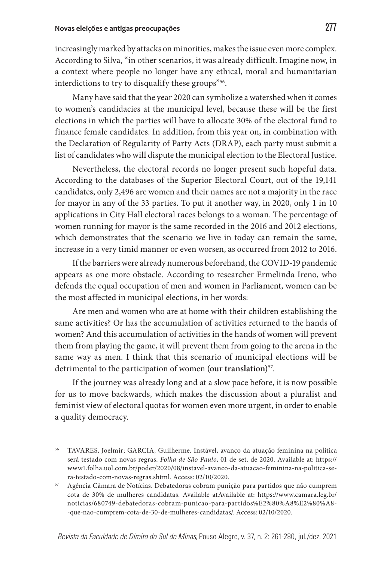increasingly marked by attacks on minorities, makes the issue even more complex. According to Silva, "in other scenarios, it was already difficult. Imagine now, in a context where people no longer have any ethical, moral and humanitarian interdictions to try to disqualify these groups"<sup>56</sup>.

Many have said that the year 2020 can symbolize a watershed when it comes to women's candidacies at the municipal level, because these will be the first elections in which the parties will have to allocate 30% of the electoral fund to finance female candidates. In addition, from this year on, in combination with the Declaration of Regularity of Party Acts (DRAP), each party must submit a list of candidates who will dispute the municipal election to the Electoral Justice.

Nevertheless, the electoral records no longer present such hopeful data. According to the databases of the Superior Electoral Court, out of the 19,141 candidates, only 2,496 are women and their names are not a majority in the race for mayor in any of the 33 parties. To put it another way, in 2020, only 1 in 10 applications in City Hall electoral races belongs to a woman. The percentage of women running for mayor is the same recorded in the 2016 and 2012 elections, which demonstrates that the scenario we live in today can remain the same, increase in a very timid manner or even worsen, as occurred from 2012 to 2016.

If the barriers were already numerous beforehand, the COVID-19 pandemic appears as one more obstacle. According to researcher Ermelinda Ireno, who defends the equal occupation of men and women in Parliament, women can be the most affected in municipal elections, in her words:

Are men and women who are at home with their children establishing the same activities? Or has the accumulation of activities returned to the hands of women? And this accumulation of activities in the hands of women will prevent them from playing the game, it will prevent them from going to the arena in the same way as men. I think that this scenario of municipal elections will be detrimental to the participation of women **(our translation)**57.

If the journey was already long and at a slow pace before, it is now possible for us to move backwards, which makes the discussion about a pluralist and feminist view of electoral quotas for women even more urgent, in order to enable a quality democracy.

<sup>56</sup> TAVARES, Joelmir; GARCIA, Guilherme. Instável, avanço da atuação feminina na política será testado com novas regras. *Folha de São Paulo*, 01 de set. de 2020. Available at: https:// www1.folha.uol.com.br/poder/2020/08/instavel-avanco-da-atuacao-feminina-na-politica-sera-testado-com-novas-regras.shtml. Access: 02/10/2020.

<sup>57</sup> Agência Câmara de Notícias. Debatedoras cobram punição para partidos que não cumprem cota de 30% de mulheres candidatas. Available atAvailable at: https://www.camara.leg.br/ noticias/680749-debatedoras-cobram-punicao-para-partidos%E2%80%A8%E2%80%A8- -que-nao-cumprem-cota-de-30-de-mulheres-candidatas/. Access: 02/10/2020.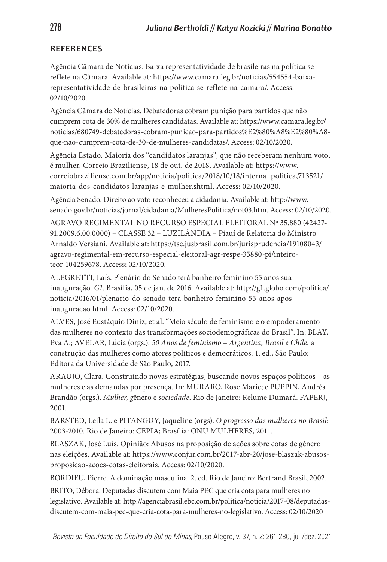## **REFERENCES**

Agência Câmara de Notícias. Baixa representatividade de brasileiras na política se reflete na Câmara. Available at: https://www.camara.leg.br/noticias/554554-baixarepresentatividade-de-brasileiras-na-politica-se-reflete-na-camara/. Access: 02/10/2020.

Agência Câmara de Notícias. Debatedoras cobram punição para partidos que não cumprem cota de 30% de mulheres candidatas. Available at: https://www.camara.leg.br/ noticias/680749-debatedoras-cobram-punicao-para-partidos%E2%80%A8%E2%80%A8 que-nao-cumprem-cota-de-30-de-mulheres-candidatas/. Access: 02/10/2020.

Agência Estado. Maioria dos "candidatos laranjas", que não receberam nenhum voto, é mulher. Correio Braziliense, 18 de out. de 2018. Available at: https://www. correiobraziliense.com.br/app/noticia/politica/2018/10/18/interna\_politica,713521/ maioria-dos-candidatos-laranjas-e-mulher.shtml. Access: 02/10/2020.

Agência Senado. Direito ao voto reconheceu a cidadania. Available at: http://www. senado.gov.br/noticias/jornal/cidadania/MulheresPolitica/not03.htm. Access: 02/10/2020. AGRAVO REGIMENTAL NO RECURSO ESPECIAL ELEITORAL Nº 35.880 (42427-

91.2009.6.00.0000) – CLASSE 32 – LUZILÂNDIA – Piauí de Relatoria do Ministro Arnaldo Versiani. Available at: https://tse.jusbrasil.com.br/jurisprudencia/19108043/ agravo-regimental-em-recurso-especial-eleitoral-agr-respe-35880-pi/inteiroteor-104259678. Access: 02/10/2020.

ALEGRETTI, Laís. Plenário do Senado terá banheiro feminino 55 anos sua inauguração. *G1*. Brasília, 05 de jan. de 2016. Available at: http://g1.globo.com/politica/ noticia/2016/01/plenario-do-senado-tera-banheiro-feminino-55-anos-aposinauguracao.html. Access: 02/10/2020.

ALVES, José Eustáquio Diniz, et al. "Meio século de feminismo e o empoderamento das mulheres no contexto das transformações sociodemográficas do Brasil". In: BLAY, Eva A.; AVELAR, Lúcia (orgs.). *50 Anos de feminismo* – *Argentina, Brasil e Chile:* a construção das mulheres como atores políticos e democráticos. 1. ed., São Paulo: Editora da Universidade de São Paulo, 2017.

ARAUJO, Clara. Construindo novas estratégias, buscando novos espaços políticos – as mulheres e as demandas por presença. In: MURARO, Rose Marie; e PUPPIN, Andréa Brandão (orgs.). *Mulher, g*ênero e *sociedade*. Rio de Janeiro: Relume Dumará. FAPERJ, 2001.

BARSTED, Leila L. e PITANGUY, Jaqueline (orgs). *O progresso das mulheres no Brasil:*  2003-2010. Rio de Janeiro: CEPIA; Brasília: ONU MULHERES, 2011.

BLASZAK, José Luís. Opinião: Abusos na proposição de ações sobre cotas de gênero nas eleições. Available at: https://www.conjur.com.br/2017-abr-20/jose-blaszak-abusosproposicao-acoes-cotas-eleitorais. Access: 02/10/2020.

BORDIEU, Pierre. A dominação masculina. 2. ed. Rio de Janeiro: Bertrand Brasil, 2002.

BRITO, Débora. Deputadas discutem com Maia PEC que cria cota para mulheres no legislativo. Available at: http://agenciabrasil.ebc.com.br/politica/noticia/2017-08/deputadasdiscutem-com-maia-pec-que-cria-cota-para-mulheres-no-legislativo. Access: 02/10/2020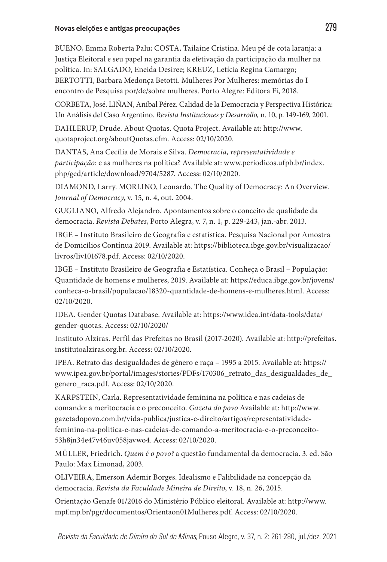BUENO, Emma Roberta Palu; COSTA, Tailaine Cristina. Meu pé de cota laranja: a Justiça Eleitoral e seu papel na garantia da efetivação da participação da mulher na política. In: SALGADO, Eneida Desiree; KREUZ, Letícia Regina Camargo; BERTOTTI, Barbara Medonça Betotti. Mulheres Por Mulheres: memórias do I encontro de Pesquisa por/de/sobre mulheres. Porto Alegre: Editora Fi, 2018.

CORBETA, José. LIÑAN, Aníbal Pérez. Calidad de la Democracia y Perspectiva Histórica: Un Análisis del Caso Argentino. *Revista Instituciones y Desarrollo,* n. 10, p. 149-169, 2001.

DAHLERUP, Drude. About Quotas. Quota Project. Available at: http://www. quotaproject.org/aboutQuotas.cfm. Access: 02/10/2020.

DANTAS, Ana Cecília de Morais e Silva. *Democracia, representatividade e participação:* e as mulheres na política? Available at: www.periodicos.ufpb.br/index. php/ged/article/download/9704/5287. Access: 02/10/2020.

DIAMOND, Larry. MORLINO, Leonardo. The Quality of Democracy: An Overview. *Journal of Democracy*, v. 15, n. 4, out. 2004.

GUGLIANO, Alfredo Alejandro. Apontamentos sobre o conceito de qualidade da democracia. *Revista Debates*, Porto Alegra, v. 7, n. 1, p. 229-243, jan.-abr. 2013.

IBGE – Instituto Brasileiro de Geografia e estatística. Pesquisa Nacional por Amostra de Domicílios Contínua 2019. Available at: https://biblioteca.ibge.gov.br/visualizacao/ livros/liv101678.pdf. Access: 02/10/2020.

IBGE – Instituto Brasileiro de Geografia e Estatística. Conheça o Brasil – População: Quantidade de homens e mulheres, 2019. Available at: https://educa.ibge.gov.br/jovens/ conheca-o-brasil/populacao/18320-quantidade-de-homens-e-mulheres.html. Access: 02/10/2020.

IDEA. Gender Quotas Database. Available at: https://www.idea.int/data-tools/data/ gender-quotas. Access: 02/10/2020/

Instituto Alziras. Perfil das Prefeitas no Brasil (2017-2020). Available at: http://prefeitas. institutoalziras.org.br. Access: 02/10/2020.

IPEA. Retrato das desigualdades de gênero e raça – 1995 a 2015. Available at: https:// www.ipea.gov.br/portal/images/stories/PDFs/170306\_retrato\_das\_desigualdades\_de\_ genero\_raca.pdf. Access: 02/10/2020.

KARPSTEIN, Carla. Representatividade feminina na política e nas cadeias de comando: a meritocracia e o preconceito. *Gazeta do povo* Available at: http://www. gazetadopovo.com.br/vida-publica/justica-e-direito/artigos/representatividadefeminina-na-politica-e-nas-cadeias-de-comando-a-meritocracia-e-o-preconceito-53h8jn34e47v46uv058javwo4. Access: 02/10/2020.

MÜLLER, Friedrich. *Quem é o povo?* a questão fundamental da democracia. 3. ed. São Paulo: Max Limonad, 2003.

OLIVEIRA, Emerson Ademir Borges. Idealismo e Falibilidade na concepção da democracia. *Revista da Faculdade Mineira de Direito*, v. 18, n. 26, 2015.

Orientação Genafe 01/2016 do Ministério Público eleitoral. Available at: http://www. mpf.mp.br/pgr/documentos/Orientaon01Mulheres.pdf. Access: 02/10/2020.